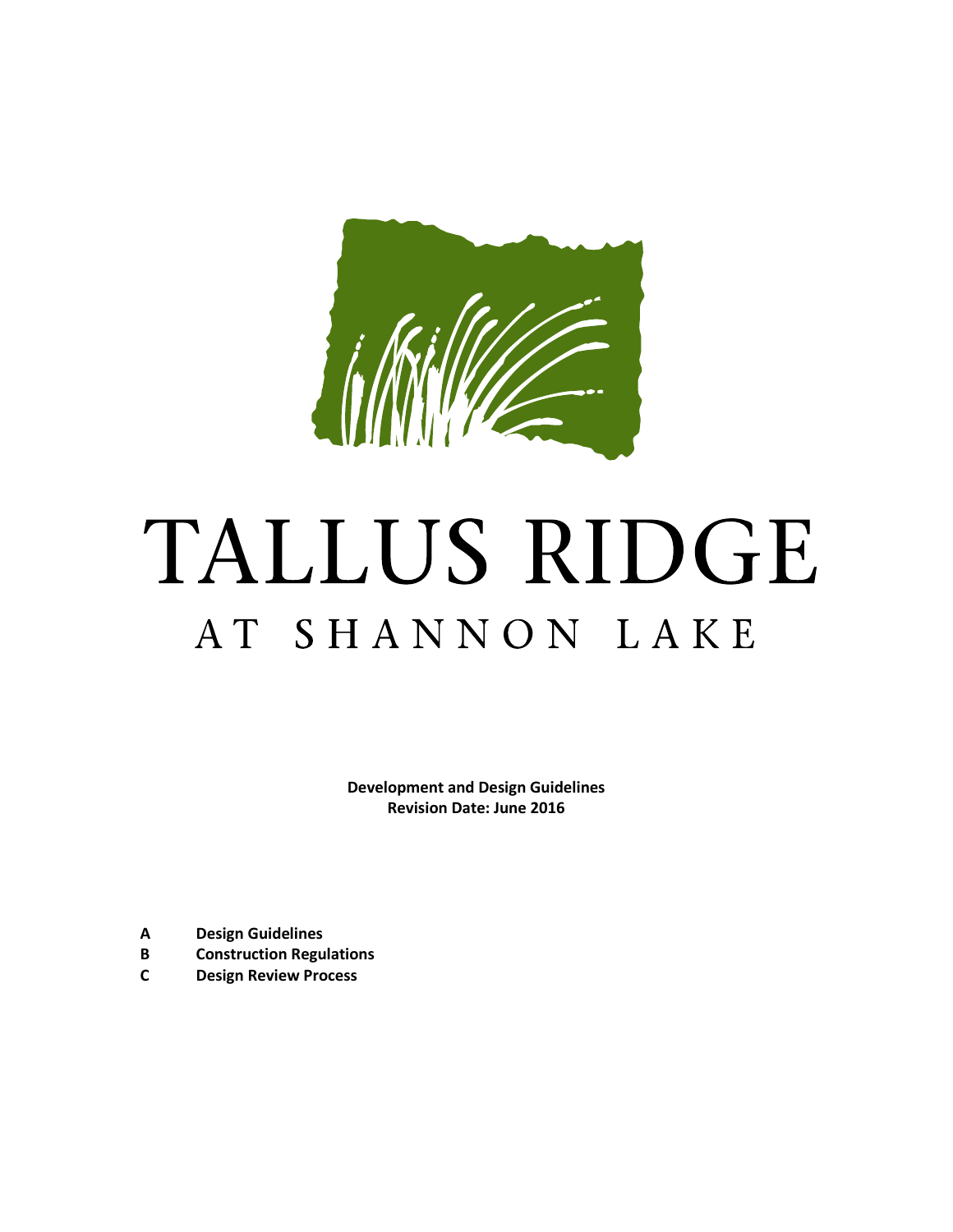

# TALLUS RIDGE AT SHANNON LAKE

**Development and Design Guidelines Revision Date: June 2016**

- **A Design Guidelines**
- **B Construction Regulations**
- **C Design Review Process**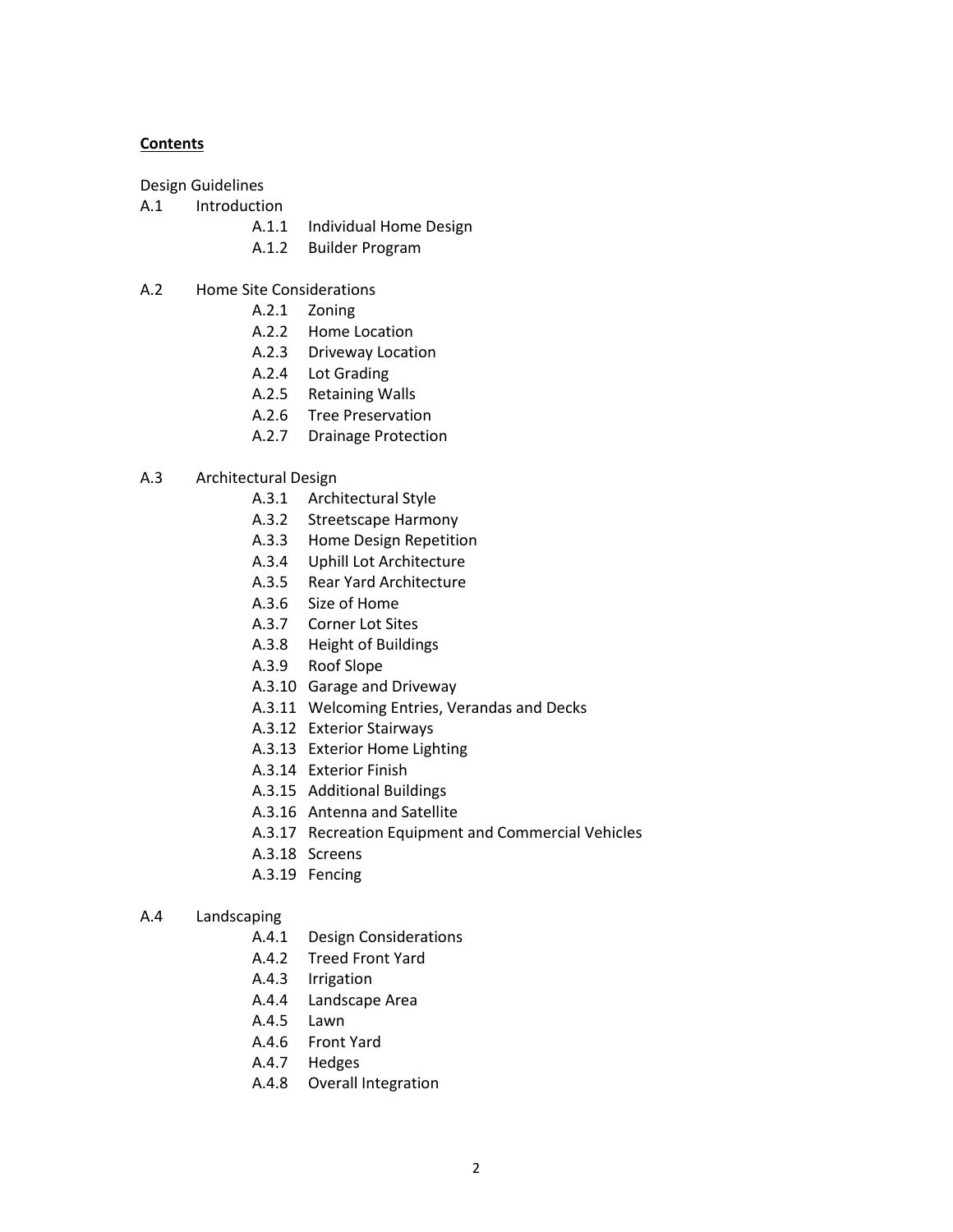# **Contents**

Design Guidelines

- A.1 Introduction
	- A.1.1 Individual Home Design
	- A.1.2 Builder Program
- A.2 Home Site Considerations
	- A.2.1 Zoning
	- A.2.2 Home Location
	- A.2.3 Driveway Location
	- A.2.4 Lot Grading
	- A.2.5 Retaining Walls
	- A.2.6 Tree Preservation
	- A.2.7 Drainage Protection

## A.3 Architectural Design

- A.3.1 Architectural Style
- A.3.2 Streetscape Harmony
- A.3.3 Home Design Repetition
- A.3.4 Uphill Lot Architecture
- A.3.5 Rear Yard Architecture
- A.3.6 Size of Home
- A.3.7 Corner Lot Sites
- A.3.8 Height of Buildings
- A.3.9 Roof Slope
- A.3.10 Garage and Driveway
- A.3.11 Welcoming Entries, Verandas and Decks
- A.3.12 Exterior Stairways
- A.3.13 Exterior Home Lighting
- A.3.14 Exterior Finish
- A.3.15 Additional Buildings
- A.3.16 Antenna and Satellite
- A.3.17 Recreation Equipment and Commercial Vehicles
- A.3.18 Screens
- A.3.19 Fencing
- A.4 Landscaping
	- A.4.1 Design Considerations
	- A.4.2 Treed Front Yard
	- A.4.3 Irrigation
	- A.4.4 Landscape Area
	- A.4.5 Lawn
	- A.4.6 Front Yard
	- A.4.7 Hedges
	- A.4.8 Overall Integration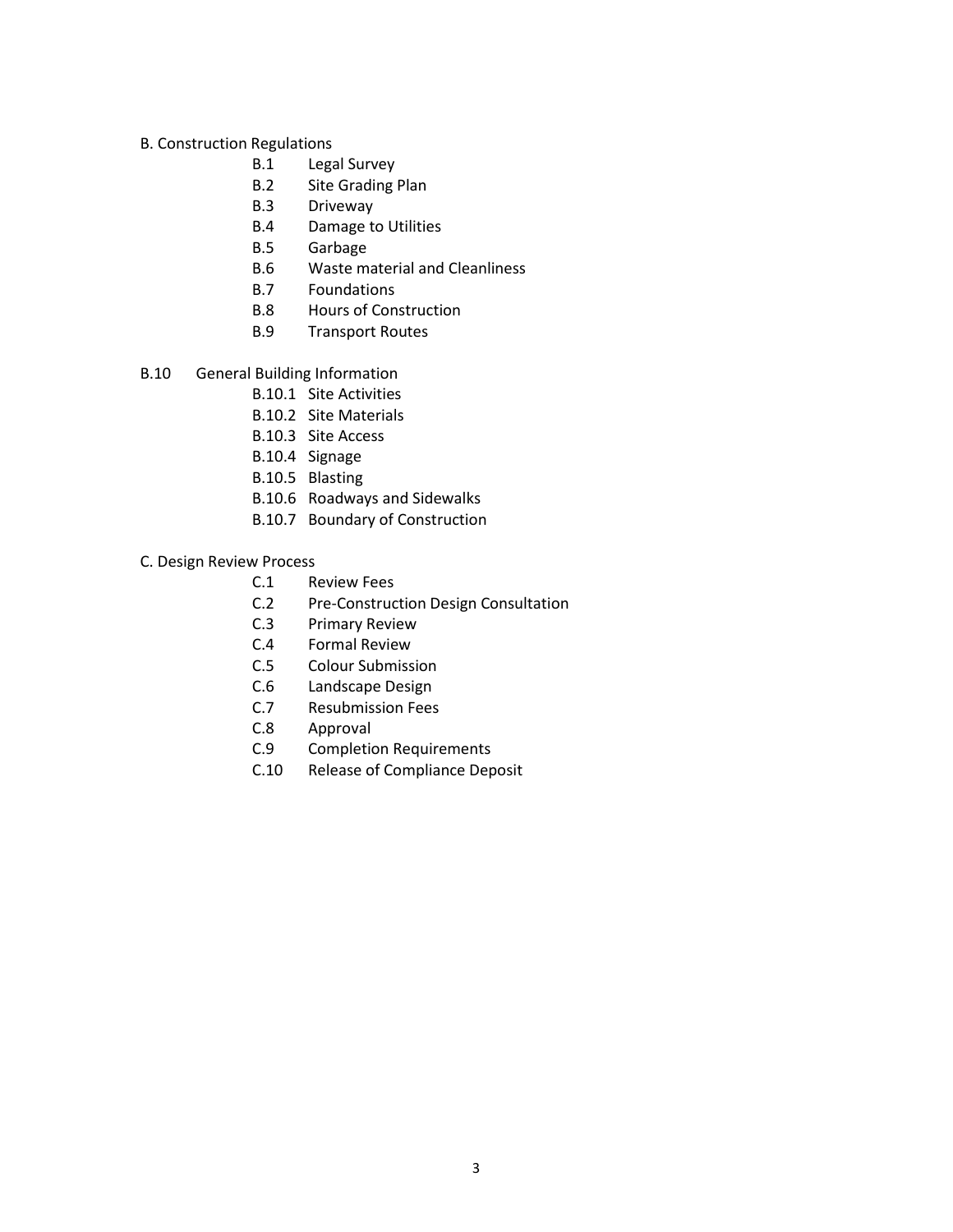# B. Construction Regulations

- B.1 Legal Survey
- B.2 Site Grading Plan
- B.3 Driveway
- B.4 Damage to Utilities
- B.5 Garbage
- B.6 Waste material and Cleanliness
- B.7 Foundations
- B.8 Hours of Construction
- B.9 Transport Routes
- B.10 General Building Information
	- B.10.1 Site Activities
	- B.10.2 Site Materials
	- B.10.3 Site Access
	- B.10.4 Signage
	- B.10.5 Blasting
	- B.10.6 Roadways and Sidewalks
	- B.10.7 Boundary of Construction

## C. Design Review Process

- C.1 Review Fees
- C.2 Pre-Construction Design Consultation
- C.3 Primary Review
- C.4 Formal Review
- C.5 Colour Submission
- C.6 Landscape Design
- C.7 Resubmission Fees
- C.8 Approval
- C.9 Completion Requirements
- C.10 Release of Compliance Deposit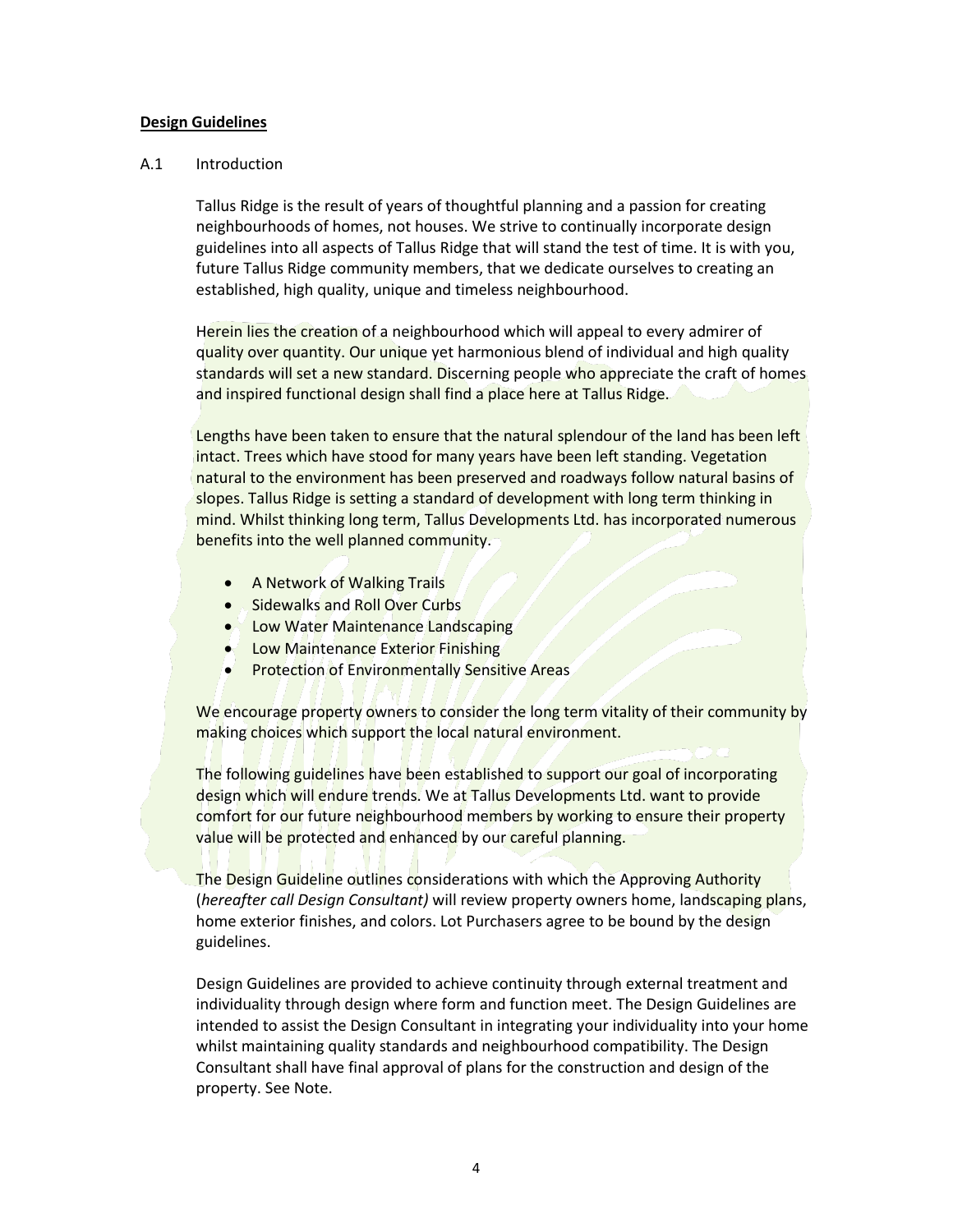## **Design Guidelines**

## A.1 Introduction

Tallus Ridge is the result of years of thoughtful planning and a passion for creating neighbourhoods of homes, not houses. We strive to continually incorporate design guidelines into all aspects of Tallus Ridge that will stand the test of time. It is with you, future Tallus Ridge community members, that we dedicate ourselves to creating an established, high quality, unique and timeless neighbourhood.

Herein lies the creation of a neighbourhood which will appeal to every admirer of quality over quantity. Our unique yet harmonious blend of individual and high quality standards will set a new standard. Discerning people who appreciate the craft of homes and inspired functional design shall find a place here at Tallus Ridge.

Lengths have been taken to ensure that the natural splendour of the land has been left intact. Trees which have stood for many years have been left standing. Vegetation natural to the environment has been preserved and roadways follow natural basins of slopes. Tallus Ridge is setting a standard of development with long term thinking in mind. Whilst thinking long term, Tallus Developments Ltd. has incorporated numerous benefits into the well planned community.

- **A Network of Walking Trails**
- **.** Sidewalks and Roll Over Curbs
- **. Low Water Maintenance Landscaping**
- **Low Maintenance Exterior Finishing**
- **Protection of Environmentally Sensitive Areas**

We encourage property owners to consider the long term vitality of their community by making choices which support the local natural environment.

The following guidelines have been established to support our goal of incorporating design which will endure trends. We at Tallus Developments Ltd. want to provide comfort for our future neighbourhood members by working to ensure their property value will be protected and enhanced by our careful planning.

The Design Guideline outlines considerations with which the Approving Authority (*hereafter call Design Consultant)* will review property owners home, landscaping plans, home exterior finishes, and colors. Lot Purchasers agree to be bound by the design guidelines.

Design Guidelines are provided to achieve continuity through external treatment and individuality through design where form and function meet. The Design Guidelines are intended to assist the Design Consultant in integrating your individuality into your home whilst maintaining quality standards and neighbourhood compatibility. The Design Consultant shall have final approval of plans for the construction and design of the property. See Note.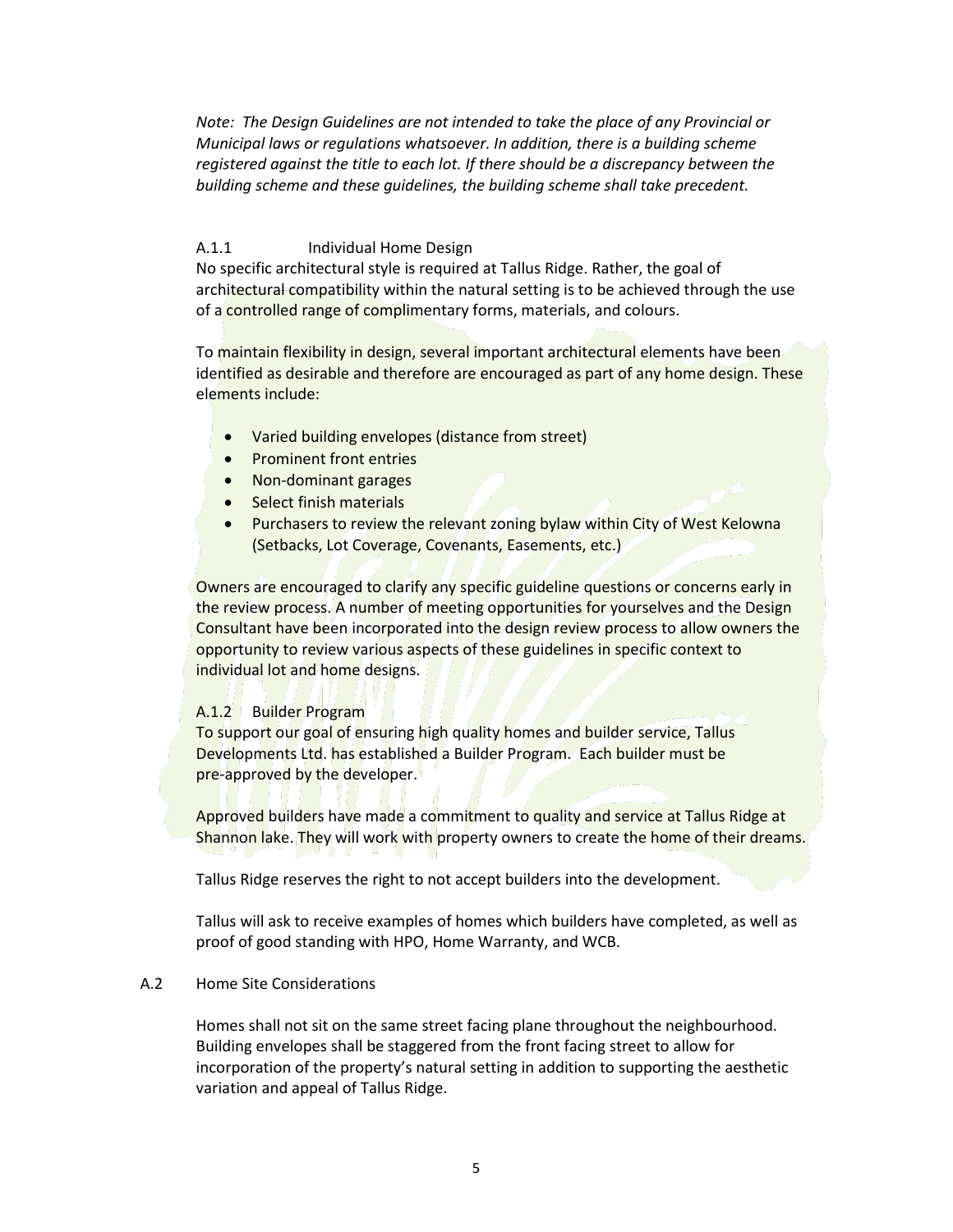*Note: The Design Guidelines are not intended to take the place of any Provincial or Municipal laws or regulations whatsoever. In addition, there is a building scheme registered against the title to each lot. If there should be a discrepancy between the building scheme and these guidelines, the building scheme shall take precedent.*

## A.1.1 **Individual Home Design**

No specific architectural style is required at Tallus Ridge. Rather, the goal of architectural compatibility within the natural setting is to be achieved through the use of a controlled range of complimentary forms, materials, and colours.

To maintain flexibility in design, several important architectural elements have been identified as desirable and therefore are encouraged as part of any home design. These elements include:

- Varied building envelopes (distance from street)
- Prominent front entries
- Non-dominant garages
- Select finish materials
- Purchasers to review the relevant zoning bylaw within City of West Kelowna (Setbacks, Lot Coverage, Covenants, Easements, etc.)

Owners are encouraged to clarify any specific guideline questions or concerns early in the review process. A number of meeting opportunities for yourselves and the Design Consultant have been incorporated into the design review process to allow owners the opportunity to review various aspects of these guidelines in specific context to individual lot and home designs.

## A.1.2 Builder Program

To support our goal of ensuring high quality homes and builder service, Tallus Developments Ltd. has established a Builder Program. Each builder must be pre-approved by the developer.

Approved builders have made a commitment to quality and service at Tallus Ridge at Shannon lake. They will work with property owners to create the home of their dreams.

Tallus Ridge reserves the right to not accept builders into the development.

Tallus will ask to receive examples of homes which builders have completed, as well as proof of good standing with HPO, Home Warranty, and WCB.

# A.2 Home Site Considerations

Homes shall not sit on the same street facing plane throughout the neighbourhood. Building envelopes shall be staggered from the front facing street to allow for incorporation of the property's natural setting in addition to supporting the aesthetic variation and appeal of Tallus Ridge.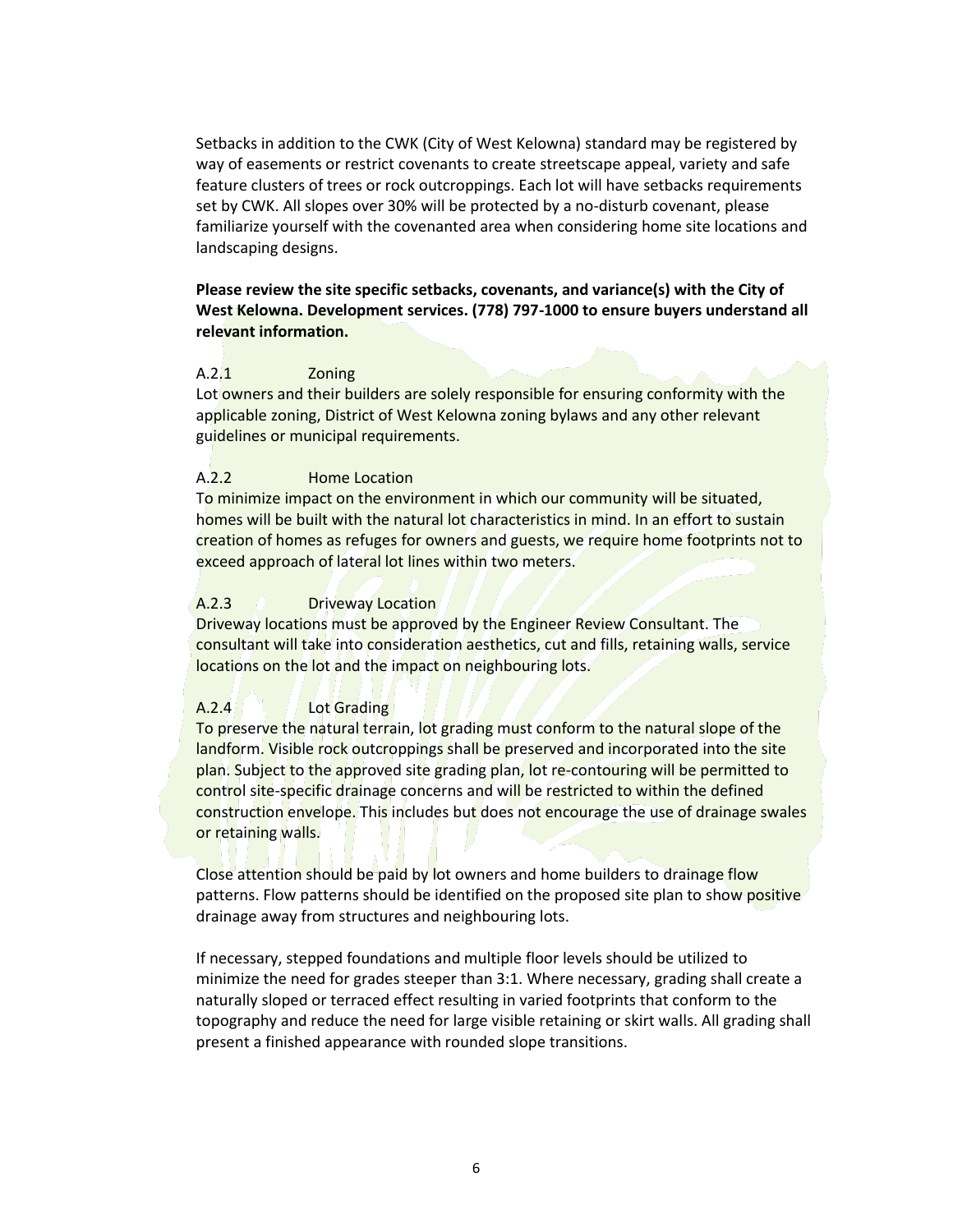Setbacks in addition to the CWK (City of West Kelowna) standard may be registered by way of easements or restrict covenants to create streetscape appeal, variety and safe feature clusters of trees or rock outcroppings. Each lot will have setbacks requirements set by CWK. All slopes over 30% will be protected by a no-disturb covenant, please familiarize yourself with the covenanted area when considering home site locations and landscaping designs.

# **Please review the site specific setbacks, covenants, and variance(s) with the City of West Kelowna. Development services. (778) 797-1000 to ensure buyers understand all relevant information.**

# A.2.1 Zoning

Lot owners and their builders are solely responsible for ensuring conformity with the applicable zoning, District of West Kelowna zoning bylaws and any other relevant guidelines or municipal requirements.

# A.2.2 Home Location

To minimize impact on the environment in which our community will be situated, homes will be built with the natural lot characteristics in mind. In an effort to sustain creation of homes as refuges for owners and guests, we require home footprints not to exceed approach of lateral lot lines within two meters.

# A.2.3 Driveway Location

Driveway locations must be approved by the Engineer Review Consultant. The consultant will take into consideration aesthetics, cut and fills, retaining walls, service locations on the lot and the impact on neighbouring lots.

# A.2.4 Lot Grading

To preserve the natural terrain, lot grading must conform to the natural slope of the landform. Visible rock outcroppings shall be preserved and incorporated into the site plan. Subject to the approved site grading plan, lot re-contouring will be permitted to control site-specific drainage concerns and will be restricted to within the defined construction envelope. This includes but does not encourage the use of drainage swales or retaining walls.

Close attention should be paid by lot owners and home builders to drainage flow patterns. Flow patterns should be identified on the proposed site plan to show positive drainage away from structures and neighbouring lots.

If necessary, stepped foundations and multiple floor levels should be utilized to minimize the need for grades steeper than 3:1. Where necessary, grading shall create a naturally sloped or terraced effect resulting in varied footprints that conform to the topography and reduce the need for large visible retaining or skirt walls. All grading shall present a finished appearance with rounded slope transitions.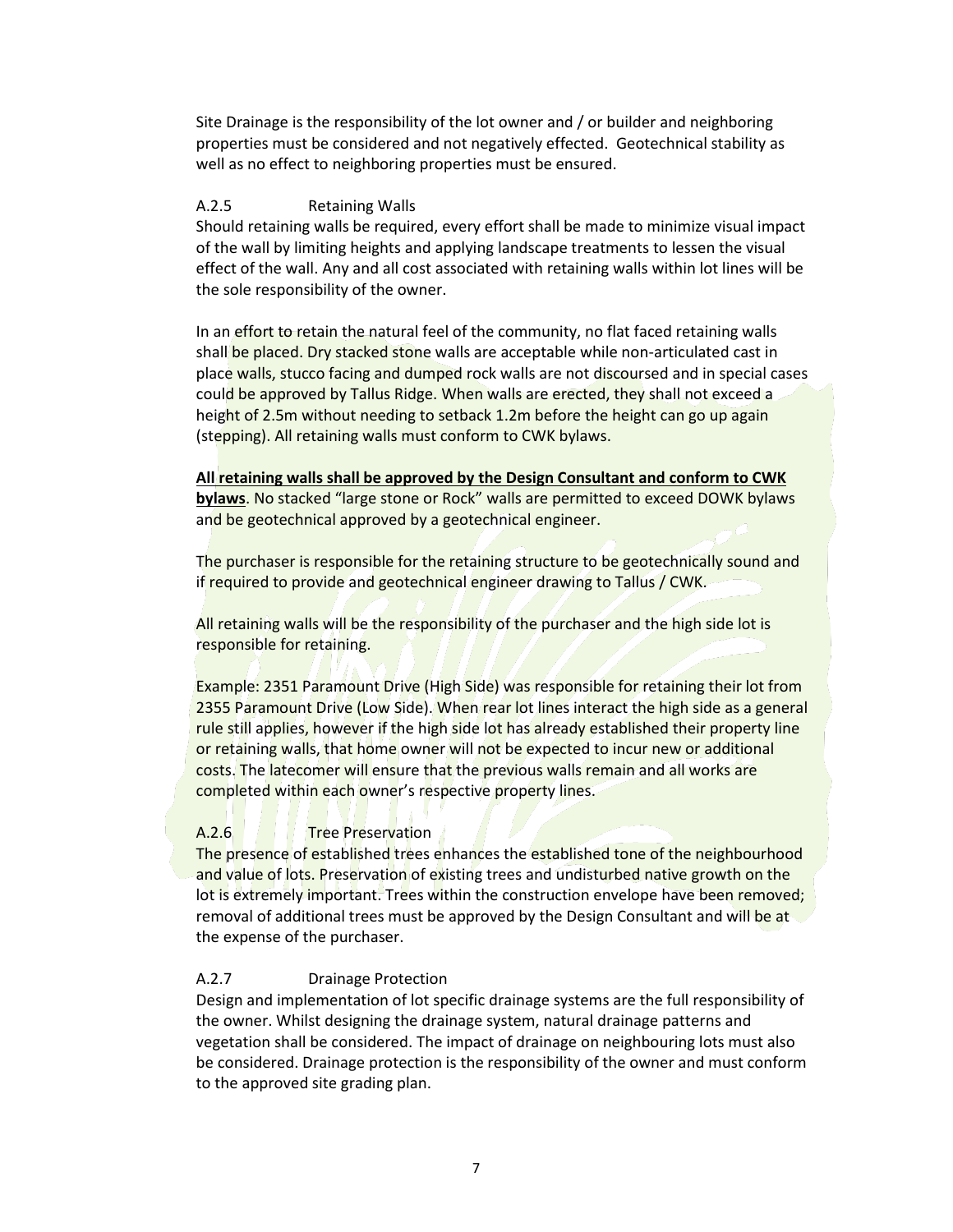Site Drainage is the responsibility of the lot owner and / or builder and neighboring properties must be considered and not negatively effected. Geotechnical stability as well as no effect to neighboring properties must be ensured.

## A.2.5 Retaining Walls

Should retaining walls be required, every effort shall be made to minimize visual impact of the wall by limiting heights and applying landscape treatments to lessen the visual effect of the wall. Any and all cost associated with retaining walls within lot lines will be the sole responsibility of the owner.

In an effort to retain the natural feel of the community, no flat faced retaining walls shall be placed. Dry stacked stone walls are acceptable while non-articulated cast in place walls, stucco facing and dumped rock walls are not discoursed and in special cases could be approved by Tallus Ridge. When walls are erected, they shall not exceed a height of 2.5m without needing to setback 1.2m before the height can go up again (stepping). All retaining walls must conform to CWK bylaws.

**All retaining walls shall be approved by the Design Consultant and conform to CWK bylaws**. No stacked "large stone or Rock" walls are permitted to exceed DOWK bylaws and be geotechnical approved by a geotechnical engineer.

The purchaser is responsible for the retaining structure to be geotechnically sound and if required to provide and geotechnical engineer drawing to Tallus / CWK.

All retaining walls will be the responsibility of the purchaser and the high side lot is responsible for retaining.

Example: 2351 Paramount Drive (High Side) was responsible for retaining their lot from 2355 Paramount Drive (Low Side). When rear lot lines interact the high side as a general rule still applies, however if the high side lot has already established their property line or retaining walls, that home owner will not be expected to incur new or additional costs. The latecomer will ensure that the previous walls remain and all works are completed within each owner's respective property lines.

## A.2.6 **Tree Preservation**

The presence of established trees enhances the established tone of the neighbourhood and value of lots. Preservation of existing trees and undisturbed native growth on the lot is extremely important. Trees within the construction envelope have been removed; removal of additional trees must be approved by the Design Consultant and will be at the expense of the purchaser.

## A.2.7 Drainage Protection

Design and implementation of lot specific drainage systems are the full responsibility of the owner. Whilst designing the drainage system, natural drainage patterns and vegetation shall be considered. The impact of drainage on neighbouring lots must also be considered. Drainage protection is the responsibility of the owner and must conform to the approved site grading plan.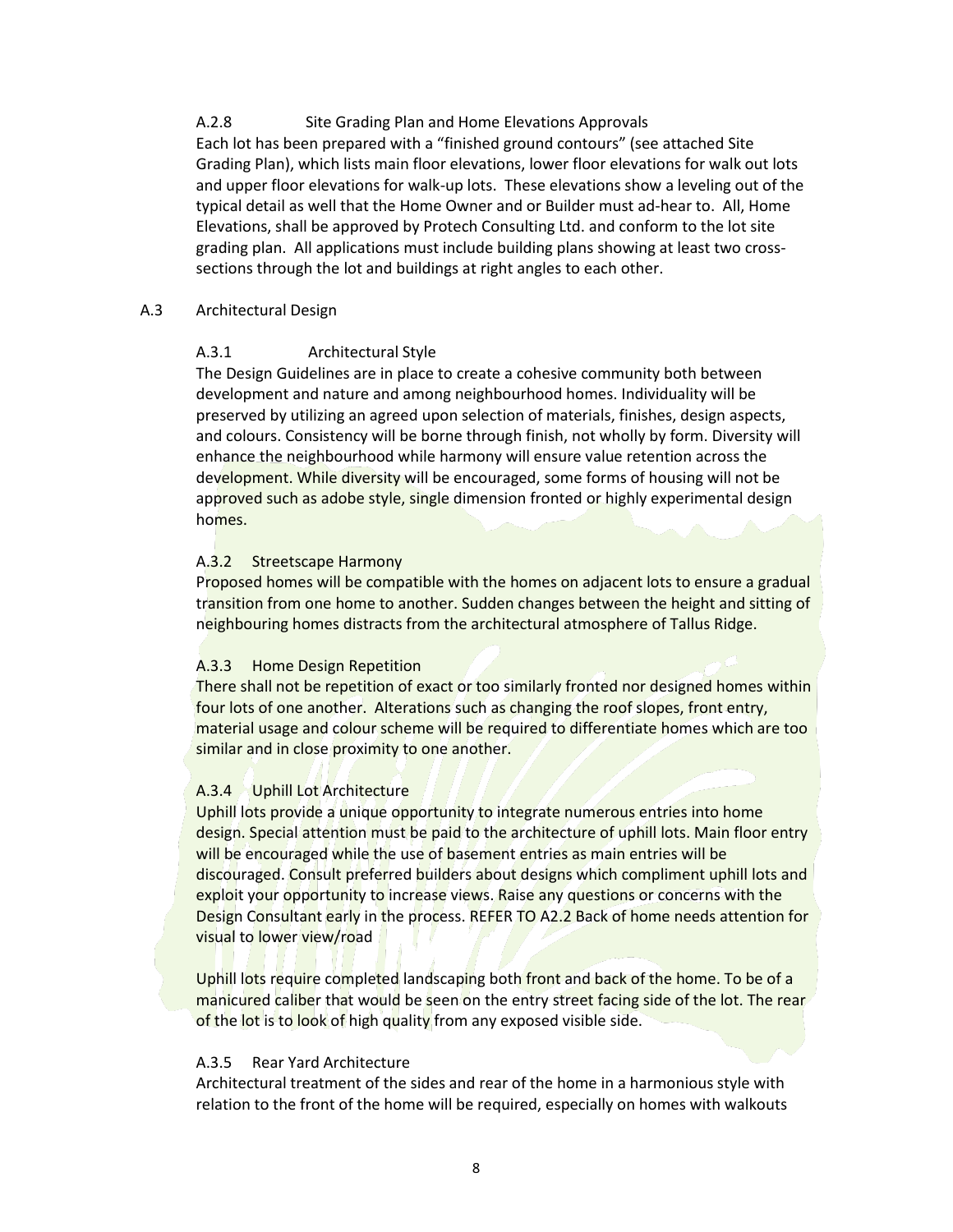A.2.8 Site Grading Plan and Home Elevations Approvals Each lot has been prepared with a "finished ground contours" (see attached Site Grading Plan), which lists main floor elevations, lower floor elevations for walk out lots and upper floor elevations for walk-up lots. These elevations show a leveling out of the typical detail as well that the Home Owner and or Builder must ad-hear to. All, Home Elevations, shall be approved by Protech Consulting Ltd. and conform to the lot site grading plan. All applications must include building plans showing at least two crosssections through the lot and buildings at right angles to each other.

# A.3 Architectural Design

# A.3.1 Architectural Style

The Design Guidelines are in place to create a cohesive community both between development and nature and among neighbourhood homes. Individuality will be preserved by utilizing an agreed upon selection of materials, finishes, design aspects, and colours. Consistency will be borne through finish, not wholly by form. Diversity will enhance the neighbourhood while harmony will ensure value retention across the development. While diversity will be encouraged, some forms of housing will not be approved such as adobe style, single dimension fronted or highly experimental design homes.

## A.3.2 Streetscape Harmony

Proposed homes will be compatible with the homes on adjacent lots to ensure a gradual transition from one home to another. Sudden changes between the height and sitting of neighbouring homes distracts from the architectural atmosphere of Tallus Ridge.

## A.3.3 Home Design Repetition

There shall not be repetition of exact or too similarly fronted nor designed homes within four lots of one another. Alterations such as changing the roof slopes, front entry, material usage and colour scheme will be required to differentiate homes which are too similar and in close proximity to one another.

# A.3.4 Uphill Lot Architecture

Uphill lots provide a unique opportunity to integrate numerous entries into home design. Special attention must be paid to the architecture of uphill lots. Main floor entry will be encouraged while the use of basement entries as main entries will be discouraged. Consult preferred builders about designs which compliment uphill lots and exploit your opportunity to increase views. Raise any questions or concerns with the Design Consultant early in the process. REFER TO A2.2 Back of home needs attention for visual to lower view/road

Uphill lots require completed landscaping both front and back of the home. To be of a manicured caliber that would be seen on the entry street facing side of the lot. The rear of the lot is to look of high quality from any exposed visible side.

## A.3.5 Rear Yard Architecture

Architectural treatment of the sides and rear of the home in a harmonious style with relation to the front of the home will be required, especially on homes with walkouts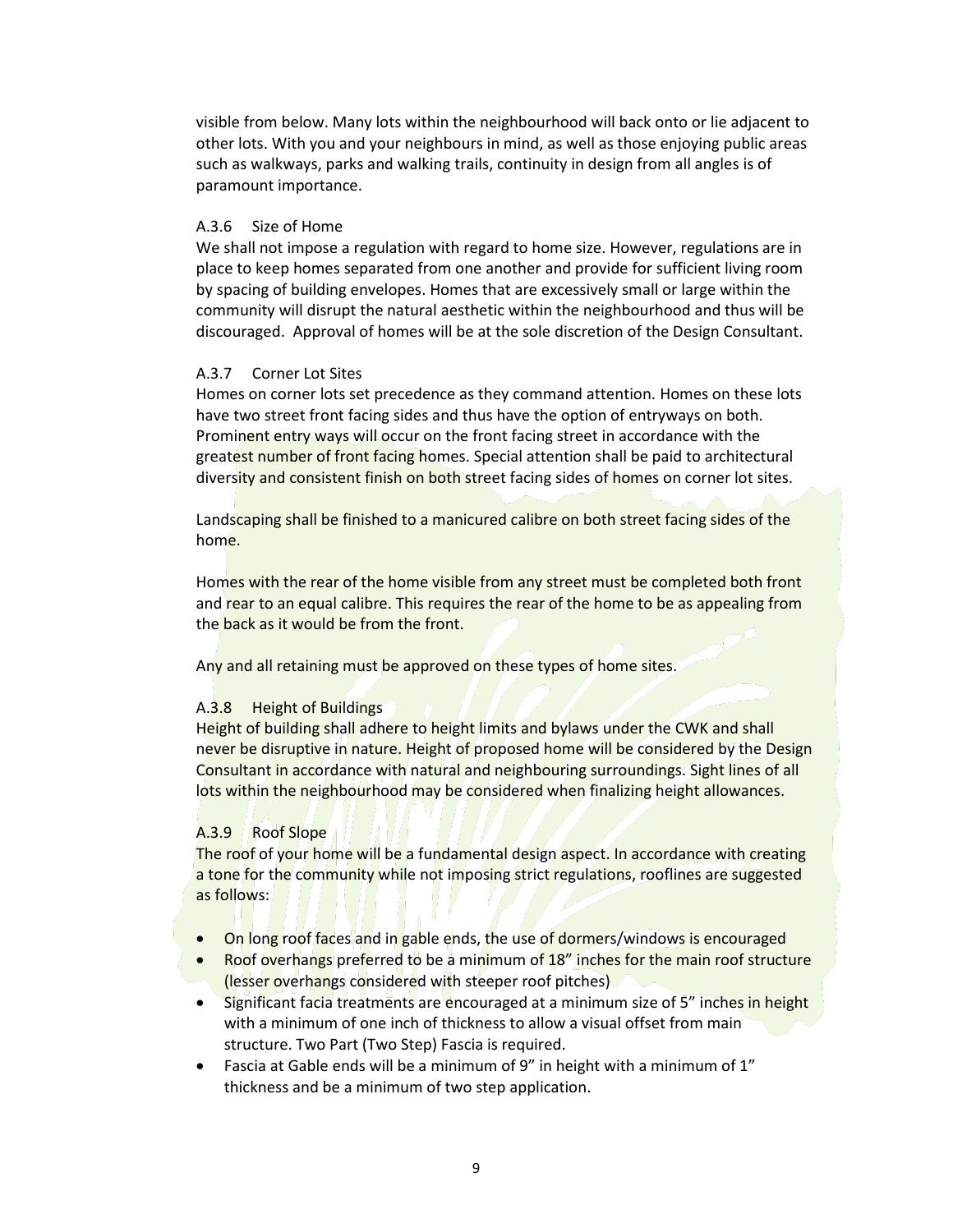visible from below. Many lots within the neighbourhood will back onto or lie adjacent to other lots. With you and your neighbours in mind, as well as those enjoying public areas such as walkways, parks and walking trails, continuity in design from all angles is of paramount importance.

## A.3.6 Size of Home

We shall not impose a regulation with regard to home size. However, regulations are in place to keep homes separated from one another and provide for sufficient living room by spacing of building envelopes. Homes that are excessively small or large within the community will disrupt the natural aesthetic within the neighbourhood and thus will be discouraged. Approval of homes will be at the sole discretion of the Design Consultant.

## A.3.7 Corner Lot Sites

Homes on corner lots set precedence as they command attention. Homes on these lots have two street front facing sides and thus have the option of entryways on both. Prominent entry ways will occur on the front facing street in accordance with the greatest number of front facing homes. Special attention shall be paid to architectural diversity and consistent finish on both street facing sides of homes on corner lot sites.

Landscaping shall be finished to a manicured calibre on both street facing sides of the home.

Homes with the rear of the home visible from any street must be completed both front and rear to an equal calibre. This requires the rear of the home to be as appealing from the back as it would be from the front.

Any and all retaining must be approved on these types of home sites.

## A.3.8 Height of Buildings

Height of building shall adhere to height limits and bylaws under the CWK and shall never be disruptive in nature. Height of proposed home will be considered by the Design Consultant in accordance with natural and neighbouring surroundings. Sight lines of all lots within the neighbourhood may be considered when finalizing height allowances.

# A.3.9 Roof Slope

The roof of your home will be a fundamental design aspect. In accordance with creating a tone for the community while not imposing strict regulations, rooflines are suggested as follows:

- On long roof faces and in gable ends, the use of dormers/windows is encouraged
- Roof overhangs preferred to be a minimum of 18" inches for the main roof structure (lesser overhangs considered with steeper roof pitches)
- Significant facia treatments are encouraged at a minimum size of 5" inches in height with a minimum of one inch of thickness to allow a visual offset from main structure. Two Part (Two Step) Fascia is required.
- **•** Fascia at Gable ends will be a minimum of 9" in height with a minimum of  $1$ " thickness and be a minimum of two step application.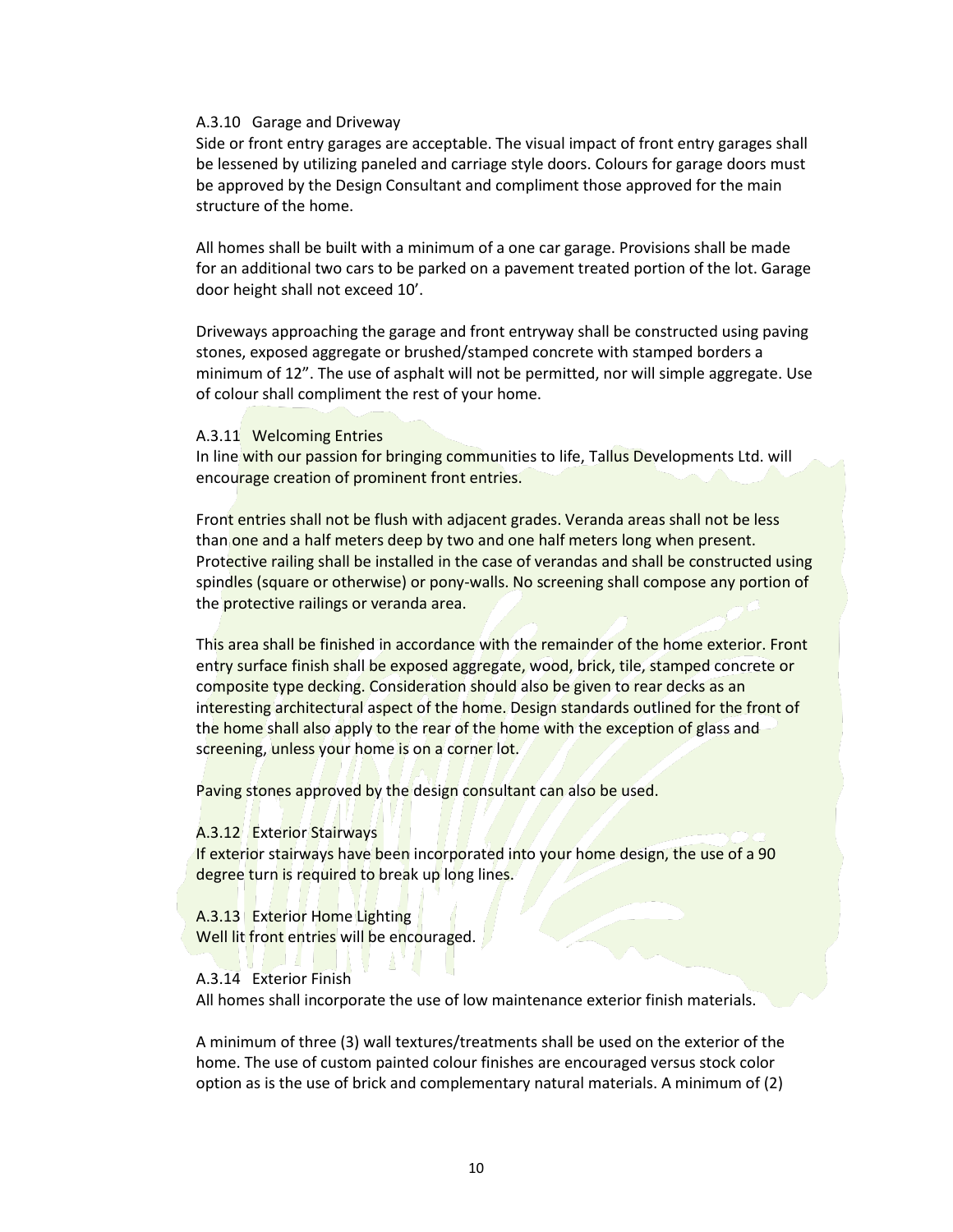#### A.3.10 Garage and Driveway

Side or front entry garages are acceptable. The visual impact of front entry garages shall be lessened by utilizing paneled and carriage style doors. Colours for garage doors must be approved by the Design Consultant and compliment those approved for the main structure of the home.

All homes shall be built with a minimum of a one car garage. Provisions shall be made for an additional two cars to be parked on a pavement treated portion of the lot. Garage door height shall not exceed 10'.

Driveways approaching the garage and front entryway shall be constructed using paving stones, exposed aggregate or brushed/stamped concrete with stamped borders a minimum of 12". The use of asphalt will not be permitted, nor will simple aggregate. Use of colour shall compliment the rest of your home.

## A.3.11 Welcoming Entries

In line with our passion for bringing communities to life, Tallus Developments Ltd. will encourage creation of prominent front entries.

Front entries shall not be flush with adjacent grades. Veranda areas shall not be less than one and a half meters deep by two and one half meters long when present. Protective railing shall be installed in the case of verandas and shall be constructed using spindles (square or otherwise) or pony-walls. No screening shall compose any portion of the protective railings or veranda area.

This area shall be finished in accordance with the remainder of the home exterior. Front entry surface finish shall be exposed aggregate, wood, brick, tile, stamped concrete or composite type decking. Consideration should also be given to rear decks as an interesting architectural aspect of the home. Design standards outlined for the front of the home shall also apply to the rear of the home with the exception of glass and screening, unless your home is on a corner lot.

Paving stones approved by the design consultant can also be used.

#### A.3.12 Exterior Stairways

If exterior stairways have been incorporated into your home design, the use of a 90 degree turn is required to break up long lines.

A.3.13 Exterior Home Lighting Well lit front entries will be encouraged.

## A.3.14 Exterior Finish

All homes shall incorporate the use of low maintenance exterior finish materials.

A minimum of three (3) wall textures/treatments shall be used on the exterior of the home. The use of custom painted colour finishes are encouraged versus stock color option as is the use of brick and complementary natural materials. A minimum of (2)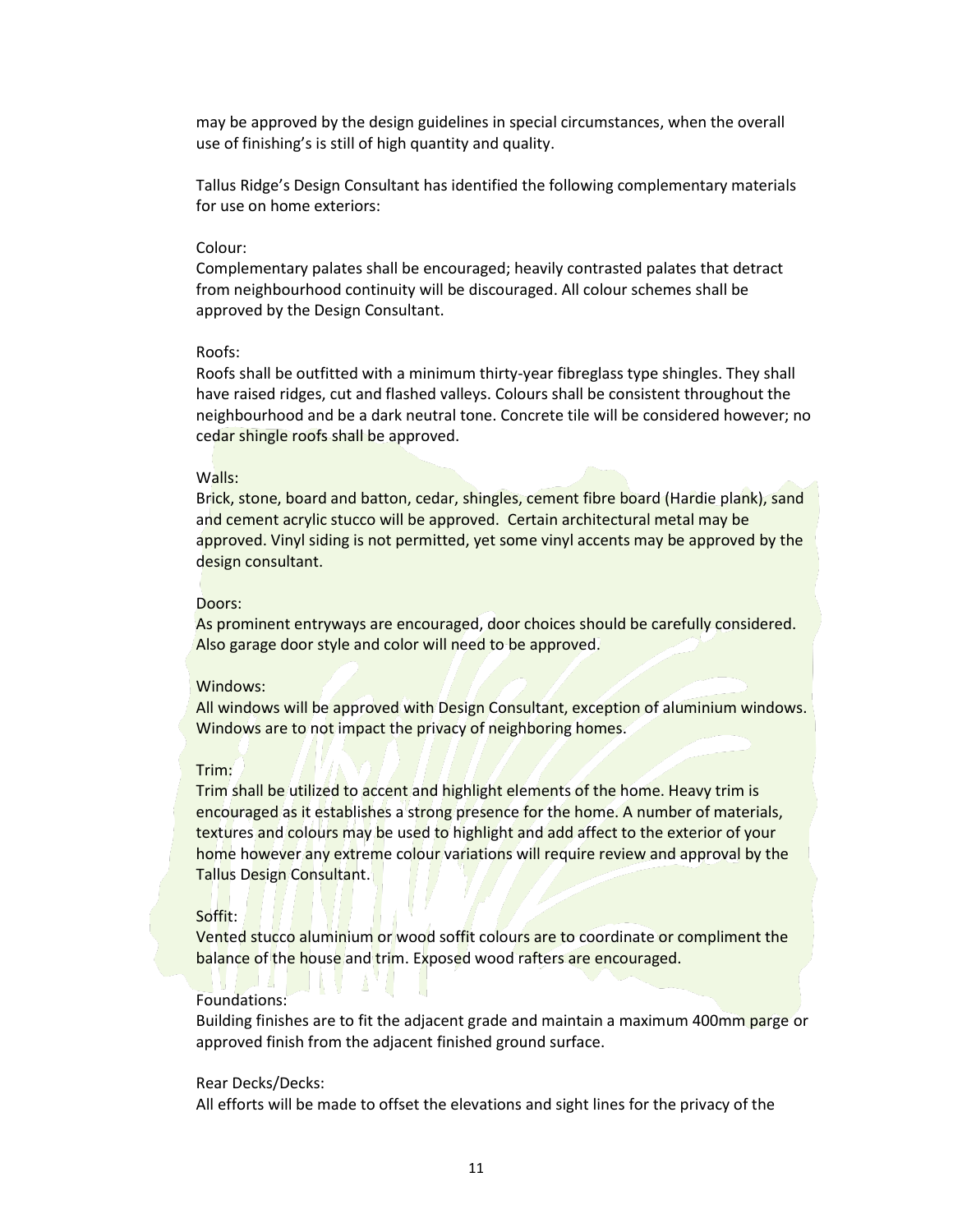may be approved by the design guidelines in special circumstances, when the overall use of finishing's is still of high quantity and quality.

Tallus Ridge's Design Consultant has identified the following complementary materials for use on home exteriors:

## Colour:

Complementary palates shall be encouraged; heavily contrasted palates that detract from neighbourhood continuity will be discouraged. All colour schemes shall be approved by the Design Consultant.

#### Roofs:

Roofs shall be outfitted with a minimum thirty-year fibreglass type shingles. They shall have raised ridges, cut and flashed valleys. Colours shall be consistent throughout the neighbourhood and be a dark neutral tone. Concrete tile will be considered however; no cedar shingle roofs shall be approved.

## Walls:

Brick, stone, board and batton, cedar, shingles, cement fibre board (Hardie plank), sand and cement acrylic stucco will be approved. Certain architectural metal may be approved. Vinyl siding is not permitted, yet some vinyl accents may be approved by the design consultant.

#### Doors:

As prominent entryways are encouraged, door choices should be carefully considered. Also garage door style and color will need to be approved.

## Windows:

All windows will be approved with Design Consultant, exception of aluminium windows. Windows are to not impact the privacy of neighboring homes.

### Trim:

Trim shall be utilized to accent and highlight elements of the home. Heavy trim is encouraged as it establishes a strong presence for the home. A number of materials, textures and colours may be used to highlight and add affect to the exterior of your home however any extreme colour variations will require review and approval by the Tallus Design Consultant.

## Soffit:

Vented stucco aluminium or wood soffit colours are to coordinate or compliment the balance of the house and trim. Exposed wood rafters are encouraged.

## Foundations:

Building finishes are to fit the adjacent grade and maintain a maximum 400mm parge or approved finish from the adjacent finished ground surface.

#### Rear Decks/Decks:

All efforts will be made to offset the elevations and sight lines for the privacy of the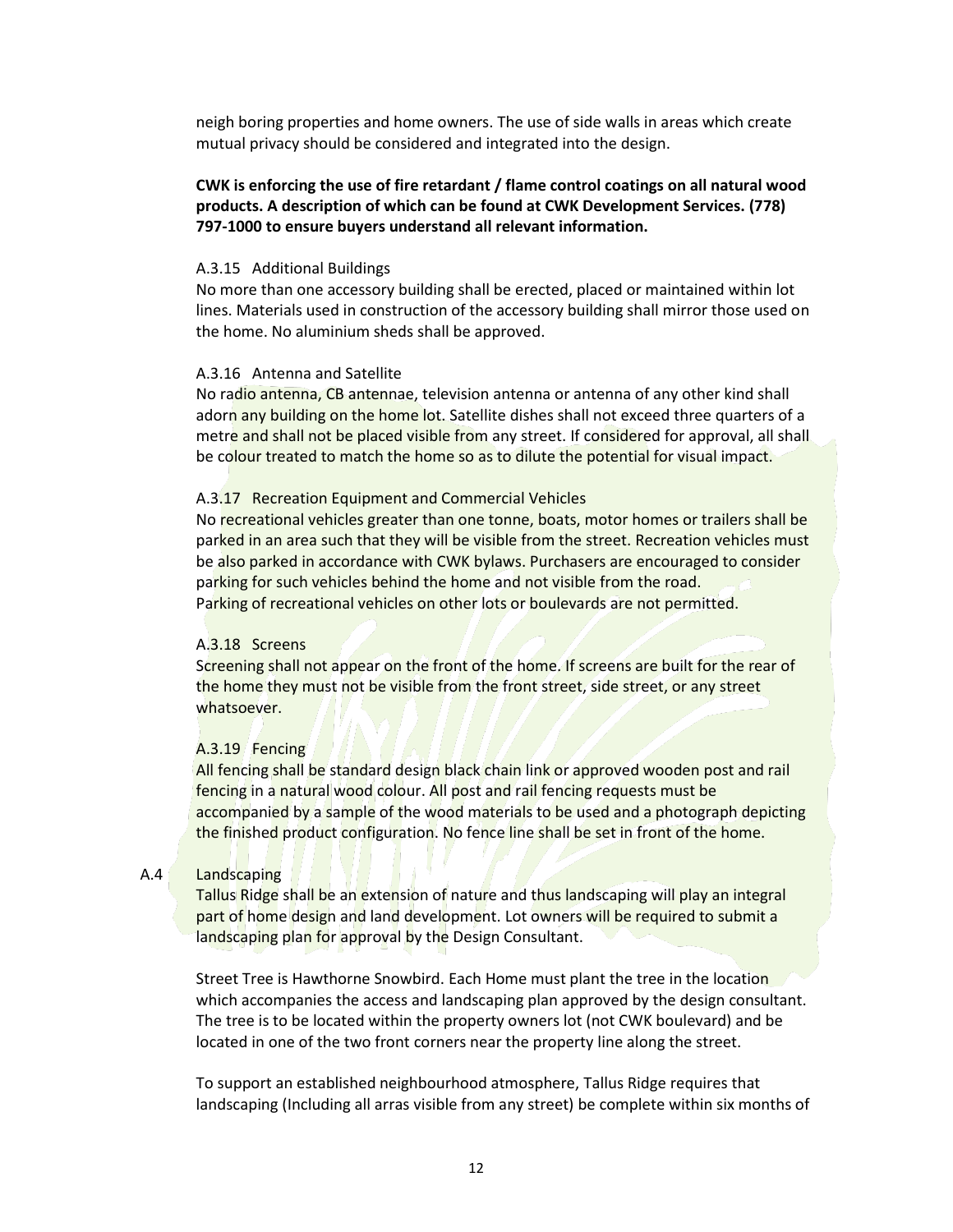neigh boring properties and home owners. The use of side walls in areas which create mutual privacy should be considered and integrated into the design.

# **CWK is enforcing the use of fire retardant / flame control coatings on all natural wood products. A description of which can be found at CWK Development Services. (778) 797-1000 to ensure buyers understand all relevant information.**

#### A.3.15 Additional Buildings

No more than one accessory building shall be erected, placed or maintained within lot lines. Materials used in construction of the accessory building shall mirror those used on the home. No aluminium sheds shall be approved.

#### A.3.16 Antenna and Satellite

No radio antenna, CB antennae, television antenna or antenna of any other kind shall adorn any building on the home lot. Satellite dishes shall not exceed three quarters of a metre and shall not be placed visible from any street. If considered for approval, all shall be colour treated to match the home so as to dilute the potential for visual impact.

## A.3.17 Recreation Equipment and Commercial Vehicles

No recreational vehicles greater than one tonne, boats, motor homes or trailers shall be parked in an area such that they will be visible from the street. Recreation vehicles must be also parked in accordance with CWK bylaws. Purchasers are encouraged to consider parking for such vehicles behind the home and not visible from the road. Parking of recreational vehicles on other lots or boulevards are not permitted.

#### A.3.18 Screens

Screening shall not appear on the front of the home. If screens are built for the rear of the home they must not be visible from the front street, side street, or any street whatsoever.

## A.3.19 Fencing

All fencing shall be standard design black chain link or approved wooden post and rail fencing in a natural wood colour. All post and rail fencing requests must be accompanied by a sample of the wood materials to be used and a photograph depicting the finished product configuration. No fence line shall be set in front of the home.

## A.4 Landscaping

Tallus Ridge shall be an extension of nature and thus landscaping will play an integral part of home design and land development. Lot owners will be required to submit a landscaping plan for approval by the Design Consultant.

Street Tree is Hawthorne Snowbird. Each Home must plant the tree in the location which accompanies the access and landscaping plan approved by the design consultant. The tree is to be located within the property owners lot (not CWK boulevard) and be located in one of the two front corners near the property line along the street.

To support an established neighbourhood atmosphere, Tallus Ridge requires that landscaping (Including all arras visible from any street) be complete within six months of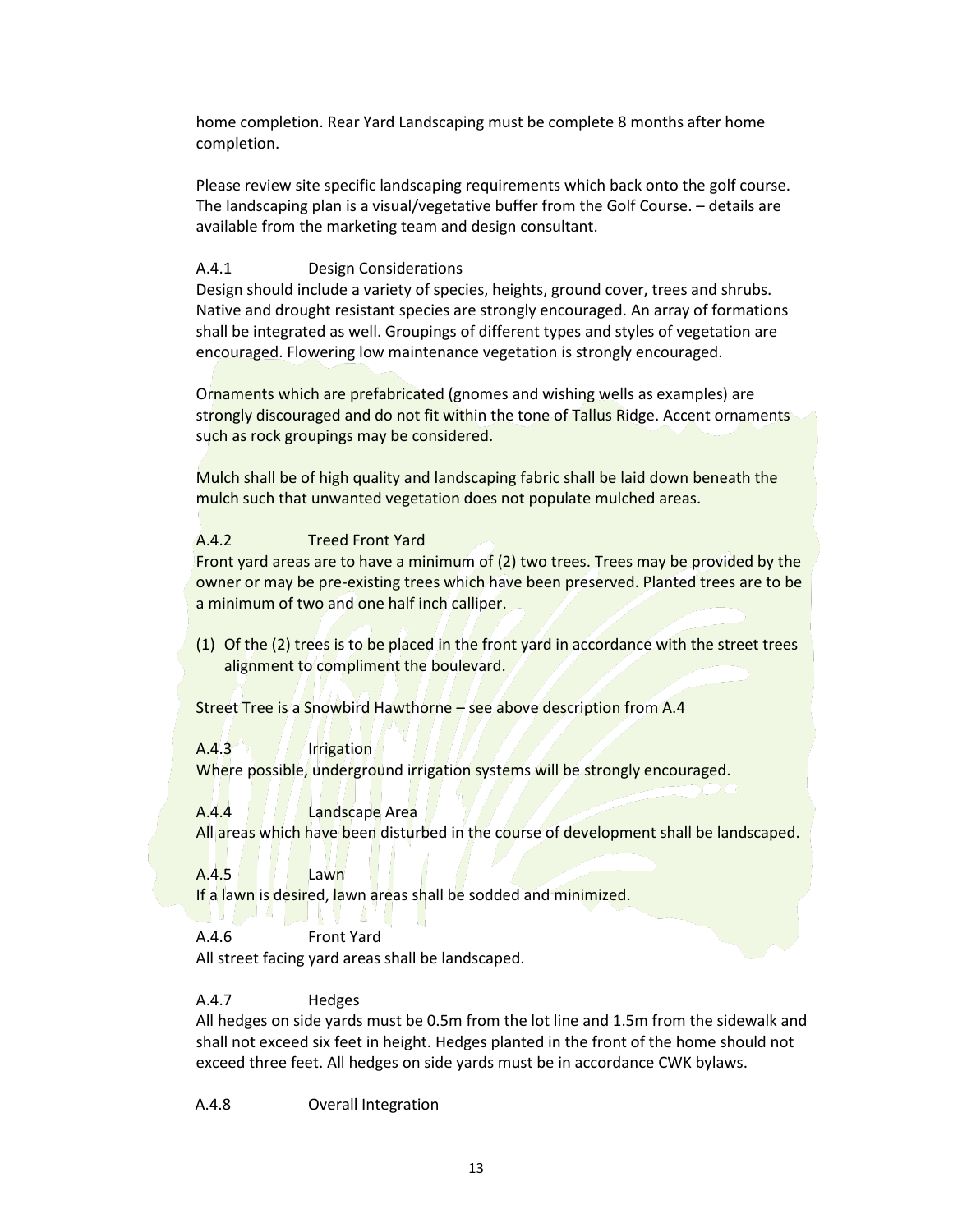home completion. Rear Yard Landscaping must be complete 8 months after home completion.

Please review site specific landscaping requirements which back onto the golf course. The landscaping plan is a visual/vegetative buffer from the Golf Course. – details are available from the marketing team and design consultant.

# A.4.1 Design Considerations

Design should include a variety of species, heights, ground cover, trees and shrubs. Native and drought resistant species are strongly encouraged. An array of formations shall be integrated as well. Groupings of different types and styles of vegetation are encouraged. Flowering low maintenance vegetation is strongly encouraged.

Ornaments which are prefabricated (gnomes and wishing wells as examples) are strongly discouraged and do not fit within the tone of Tallus Ridge. Accent ornaments such as rock groupings may be considered.

Mulch shall be of high quality and landscaping fabric shall be laid down beneath the mulch such that unwanted vegetation does not populate mulched areas.

# A.4.2 Treed Front Yard

Front yard areas are to have a minimum of (2) two trees. Trees may be provided by the owner or may be pre-existing trees which have been preserved. Planted trees are to be a minimum of two and one half inch calliper.

(1) Of the (2) trees is to be placed in the front yard in accordance with the street trees alignment to compliment the boulevard.

Street Tree is a Snowbird Hawthorne – see above description from A.4

A.4.3 Irrigation Where possible, underground irrigation systems will be strongly encouraged.

A.4.4 Landscape Area All areas which have been disturbed in the course of development shall be landscaped.

A.4.5 Lawn If a lawn is desired, lawn areas shall be sodded and minimized.

A.4.6 Front Yard All street facing yard areas shall be landscaped.

## A.4.7 Hedges

All hedges on side yards must be 0.5m from the lot line and 1.5m from the sidewalk and shall not exceed six feet in height. Hedges planted in the front of the home should not exceed three feet. All hedges on side yards must be in accordance CWK bylaws.

A.4.8 Overall Integration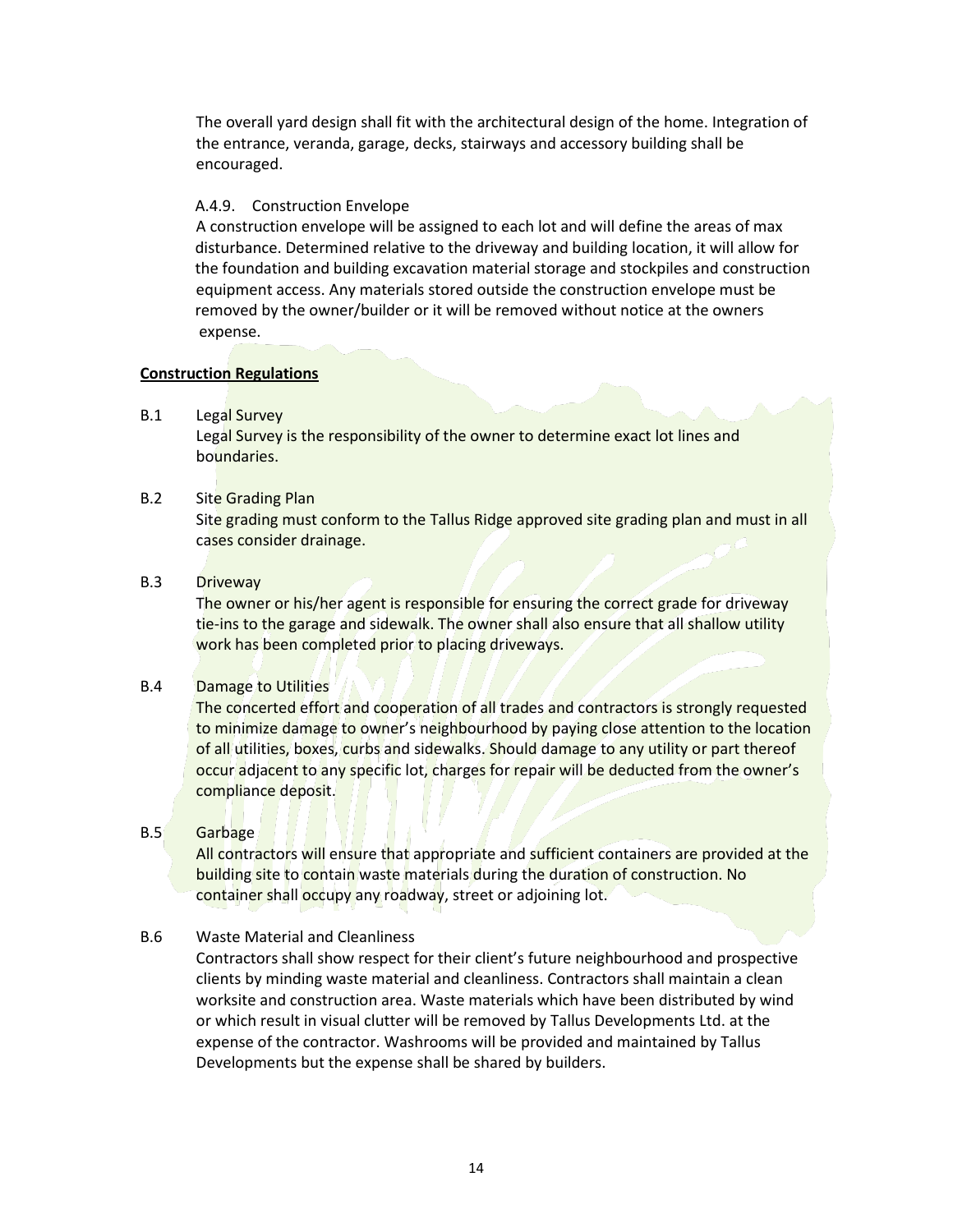The overall yard design shall fit with the architectural design of the home. Integration of the entrance, veranda, garage, decks, stairways and accessory building shall be encouraged.

## A.4.9. Construction Envelope

A construction envelope will be assigned to each lot and will define the areas of max disturbance. Determined relative to the driveway and building location, it will allow for the foundation and building excavation material storage and stockpiles and construction equipment access. Any materials stored outside the construction envelope must be removed by the owner/builder or it will be removed without notice at the owners expense.

## **Construction Regulations**

B.1 Legal Survey

Legal Survey is the responsibility of the owner to determine exact lot lines and boundaries.

# B.2 Site Grading Plan

Site grading must conform to the Tallus Ridge approved site grading plan and must in all cases consider drainage.

B.3 Driveway

The owner or his/her agent is responsible for ensuring the correct grade for driveway tie-ins to the garage and sidewalk. The owner shall also ensure that all shallow utility work has been completed prior to placing driveways.

# B.4 Damage to Utilities

The concerted effort and cooperation of all trades and contractors is strongly requested to minimize damage to owner's neighbourhood by paying close attention to the location of all utilities, boxes, curbs and sidewalks. Should damage to any utility or part thereof occur adjacent to any specific lot, charges for repair will be deducted from the owner's compliance deposit.

# B.5 Garbage

All contractors will ensure that appropriate and sufficient containers are provided at the building site to contain waste materials during the duration of construction. No container shall occupy any roadway, street or adjoining lot.

# B.6 Waste Material and Cleanliness

Contractors shall show respect for their client's future neighbourhood and prospective clients by minding waste material and cleanliness. Contractors shall maintain a clean worksite and construction area. Waste materials which have been distributed by wind or which result in visual clutter will be removed by Tallus Developments Ltd. at the expense of the contractor. Washrooms will be provided and maintained by Tallus Developments but the expense shall be shared by builders.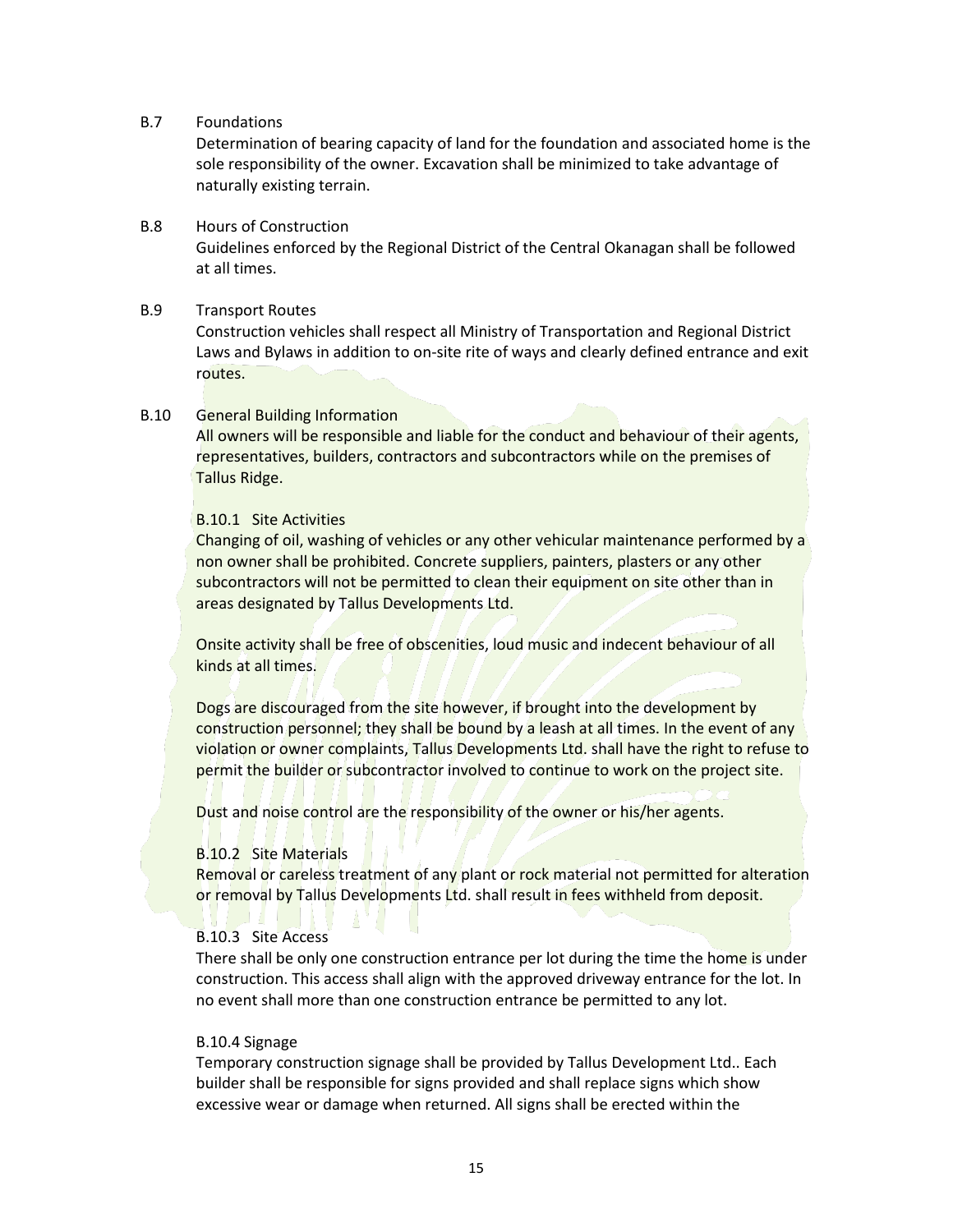## B.7 Foundations

Determination of bearing capacity of land for the foundation and associated home is the sole responsibility of the owner. Excavation shall be minimized to take advantage of naturally existing terrain.

## B.8 Hours of Construction

Guidelines enforced by the Regional District of the Central Okanagan shall be followed at all times.

## B.9 Transport Routes

Construction vehicles shall respect all Ministry of Transportation and Regional District Laws and Bylaws in addition to on-site rite of ways and clearly defined entrance and exit routes.

## B.10 General Building Information

All owners will be responsible and liable for the conduct and behaviour of their agents, representatives, builders, contractors and subcontractors while on the premises of Tallus Ridge.

## B.10.1 Site Activities

Changing of oil, washing of vehicles or any other vehicular maintenance performed by a non owner shall be prohibited. Concrete suppliers, painters, plasters or any other subcontractors will not be permitted to clean their equipment on site other than in areas designated by Tallus Developments Ltd.

Onsite activity shall be free of obscenities, loud music and indecent behaviour of all kinds at all times.

Dogs are discouraged from the site however, if brought into the development by construction personnel; they shall be bound by a leash at all times. In the event of any violation or owner complaints, Tallus Developments Ltd. shall have the right to refuse to permit the builder or subcontractor involved to continue to work on the project site.

Dust and noise control are the responsibility of the owner or his/her agents.

## B.10.2 Site Materials

Removal or careless treatment of any plant or rock material not permitted for alteration or removal by Tallus Developments Ltd. shall result in fees withheld from deposit.

## B.10.3 Site Access

There shall be only one construction entrance per lot during the time the home is under construction. This access shall align with the approved driveway entrance for the lot. In no event shall more than one construction entrance be permitted to any lot.

## B.10.4 Signage

Temporary construction signage shall be provided by Tallus Development Ltd.. Each builder shall be responsible for signs provided and shall replace signs which show excessive wear or damage when returned. All signs shall be erected within the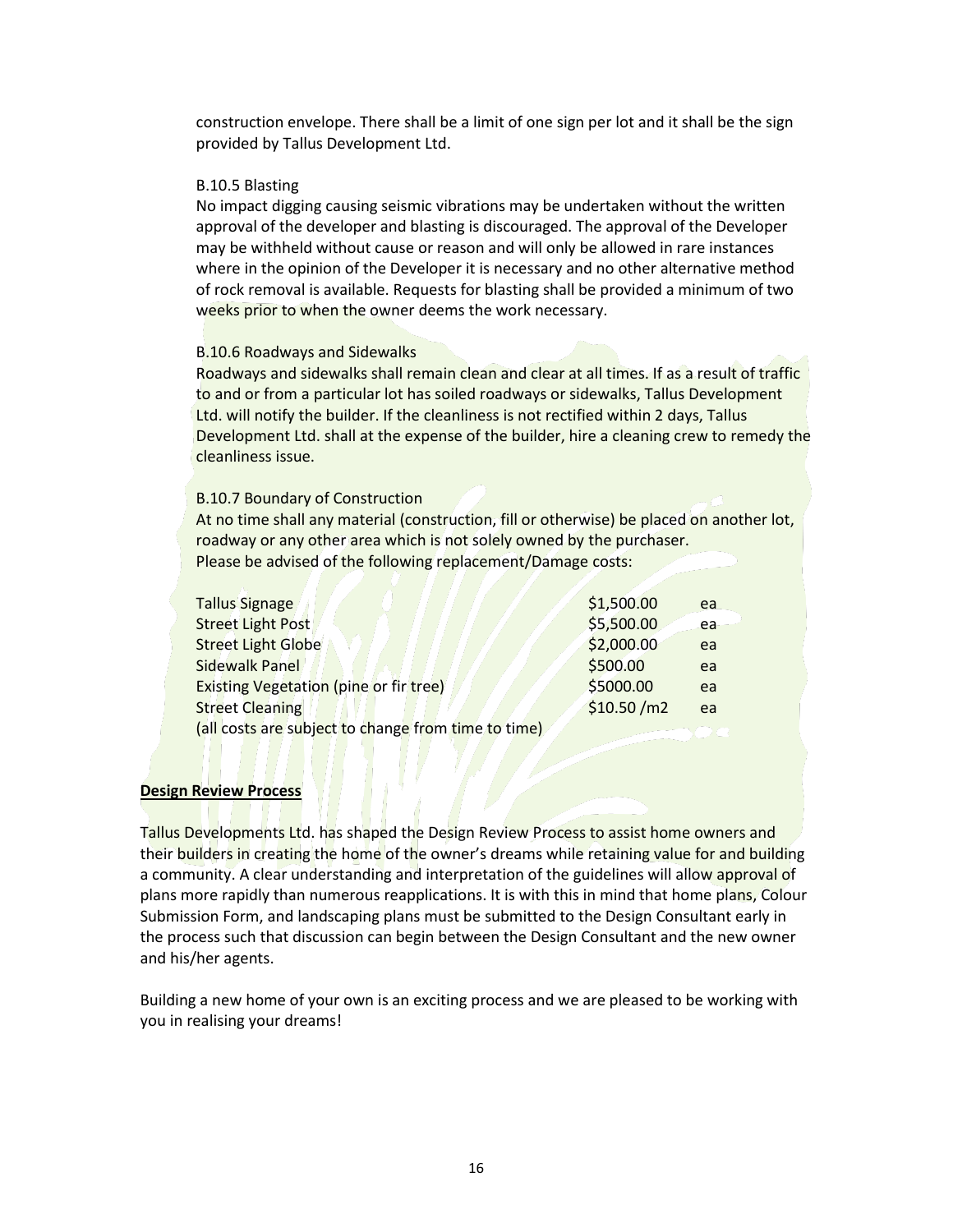construction envelope. There shall be a limit of one sign per lot and it shall be the sign provided by Tallus Development Ltd.

## B.10.5 Blasting

No impact digging causing seismic vibrations may be undertaken without the written approval of the developer and blasting is discouraged. The approval of the Developer may be withheld without cause or reason and will only be allowed in rare instances where in the opinion of the Developer it is necessary and no other alternative method of rock removal is available. Requests for blasting shall be provided a minimum of two weeks prior to when the owner deems the work necessary.

## B.10.6 Roadways and Sidewalks

Roadways and sidewalks shall remain clean and clear at all times. If as a result of traffic to and or from a particular lot has soiled roadways or sidewalks, Tallus Development Ltd. will notify the builder. If the cleanliness is not rectified within 2 days, Tallus Development Ltd. shall at the expense of the builder, hire a cleaning crew to remedy the cleanliness issue.

## B.10.7 Boundary of Construction

At no time shall any material (construction, fill or otherwise) be placed on another lot, roadway or any other area which is not solely owned by the purchaser. Please be advised of the following replacement/Damage costs:

| Tallus Signage                                      | \$1,500.00 | ea |
|-----------------------------------------------------|------------|----|
| <b>Street Light Post</b>                            | \$5,500.00 | ea |
| <b>Street Light Globe</b>                           | \$2,000.00 | ea |
| Sidewalk Panel                                      | \$500.00   | ea |
| <b>Existing Vegetation (pine or fir tree)</b>       | \$5000.00  | ea |
| <b>Street Cleaning</b>                              | \$10.50/m2 | ea |
| (all costs are subject to change from time to time) |            |    |

# **Design Review Process**

Tallus Developments Ltd. has shaped the Design Review Process to assist home owners and their builders in creating the home of the owner's dreams while retaining value for and building a community. A clear understanding and interpretation of the guidelines will allow approval of plans more rapidly than numerous reapplications. It is with this in mind that home plans, Colour Submission Form, and landscaping plans must be submitted to the Design Consultant early in the process such that discussion can begin between the Design Consultant and the new owner and his/her agents.

Building a new home of your own is an exciting process and we are pleased to be working with you in realising your dreams!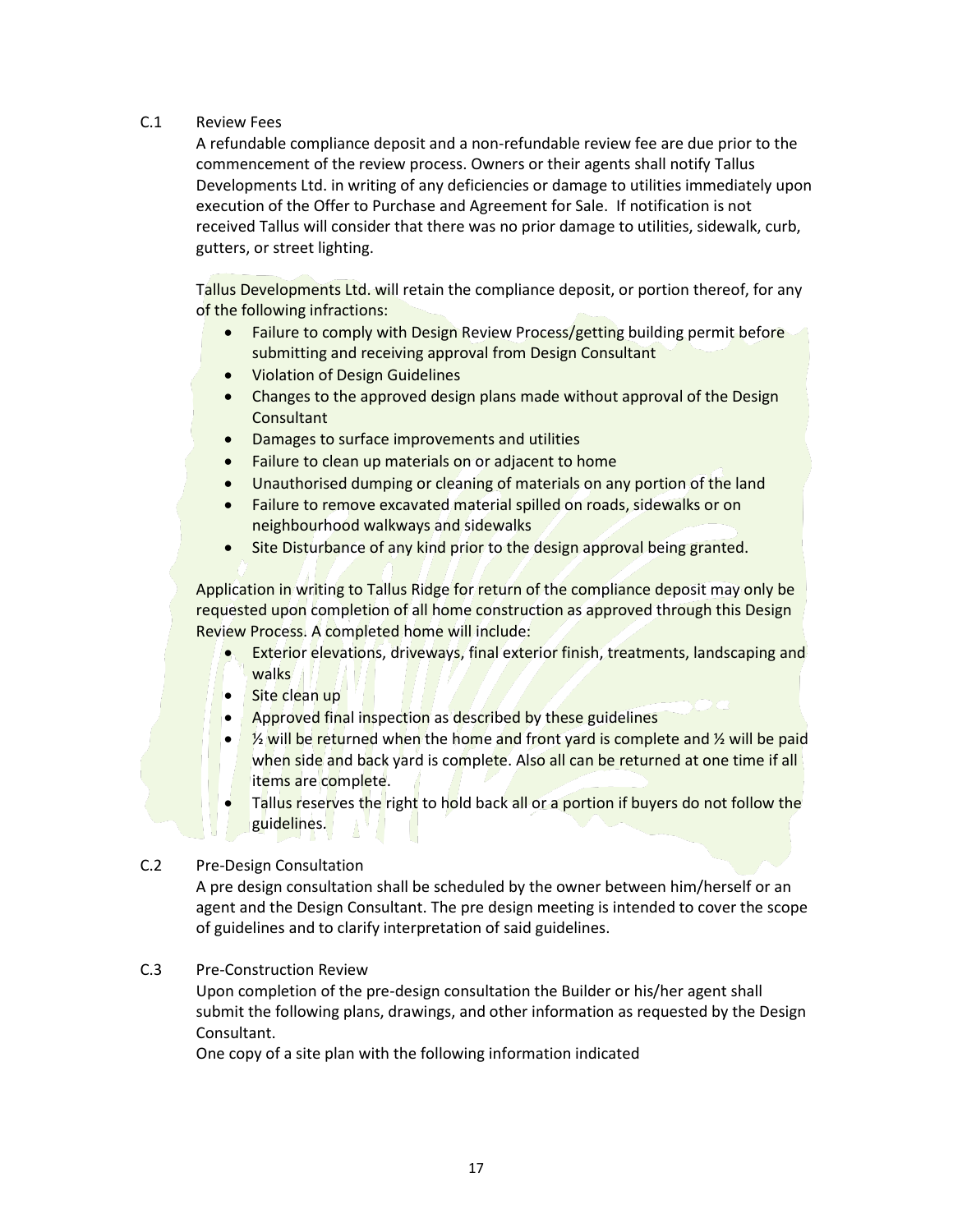# C.1 Review Fees

A refundable compliance deposit and a non-refundable review fee are due prior to the commencement of the review process. Owners or their agents shall notify Tallus Developments Ltd. in writing of any deficiencies or damage to utilities immediately upon execution of the Offer to Purchase and Agreement for Sale. If notification is not received Tallus will consider that there was no prior damage to utilities, sidewalk, curb, gutters, or street lighting.

Tallus Developments Ltd. will retain the compliance deposit, or portion thereof, for any of the following infractions:

- Failure to comply with Design Review Process/getting building permit before submitting and receiving approval from Design Consultant
- Violation of Design Guidelines
- Changes to the approved design plans made without approval of the Design **Consultant**
- Damages to surface improvements and utilities
- Failure to clean up materials on or adjacent to home
- Unauthorised dumping or cleaning of materials on any portion of the land
- Failure to remove excavated material spilled on roads, sidewalks or on neighbourhood walkways and sidewalks
- Site Disturbance of any kind prior to the design approval being granted.

Application in writing to Tallus Ridge for return of the compliance deposit may only be requested upon completion of all home construction as approved through this Design Review Process. A completed home will include:

- Exterior elevations, driveways, final exterior finish, treatments, landscaping and walks
- Site clean up
- Approved final inspection as described by these guidelines
- $\frac{1}{2}$  will be returned when the home and front yard is complete and  $\frac{1}{2}$  will be paid when side and back yard is complete. Also all can be returned at one time if all items are complete.
- Tallus reserves the right to hold back all or a portion if buyers do not follow the guidelines.

# C.2 Pre-Design Consultation

A pre design consultation shall be scheduled by the owner between him/herself or an agent and the Design Consultant. The pre design meeting is intended to cover the scope of guidelines and to clarify interpretation of said guidelines.

# C.3 Pre-Construction Review

Upon completion of the pre-design consultation the Builder or his/her agent shall submit the following plans, drawings, and other information as requested by the Design Consultant.

One copy of a site plan with the following information indicated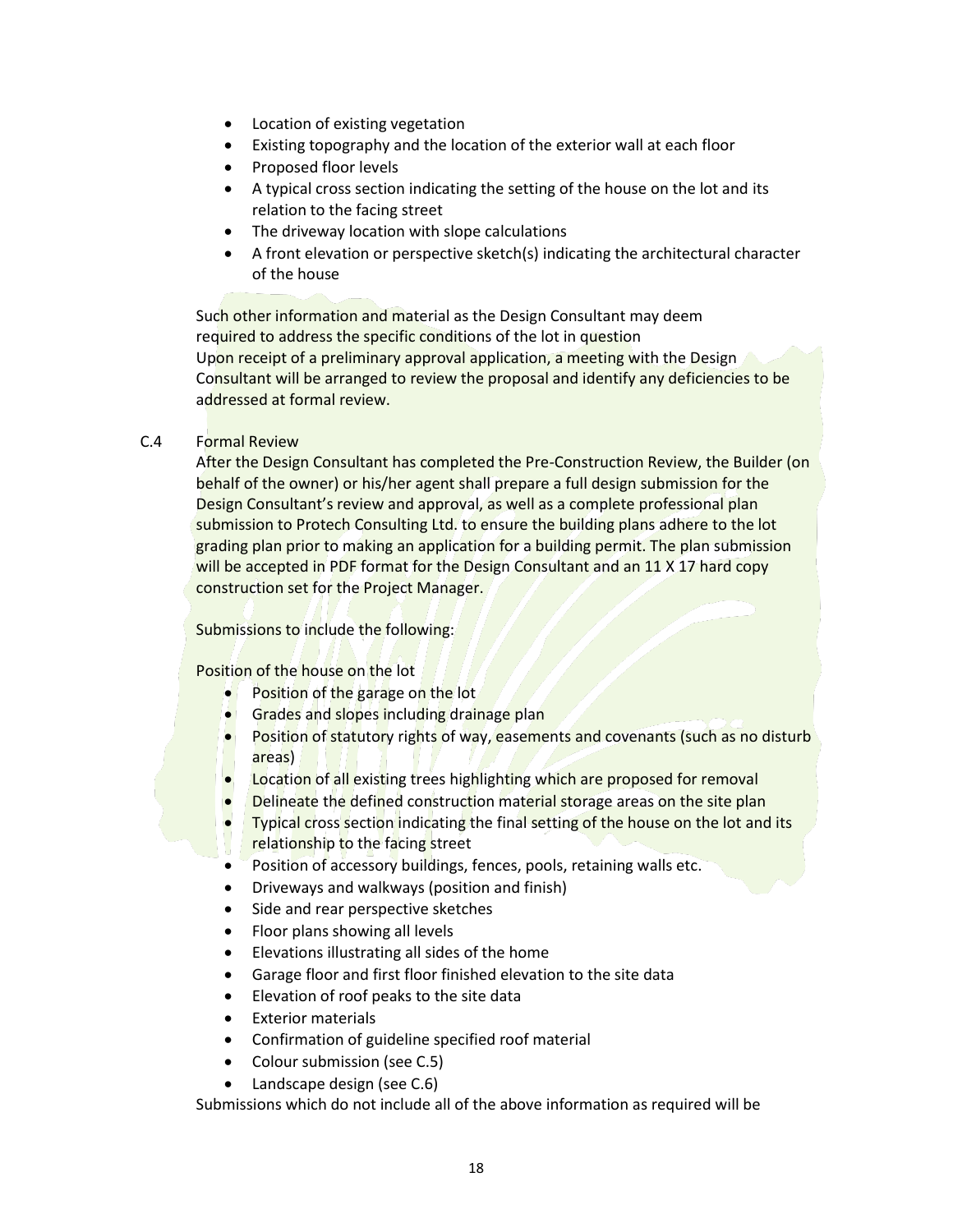- Location of existing vegetation
- Existing topography and the location of the exterior wall at each floor
- Proposed floor levels
- A typical cross section indicating the setting of the house on the lot and its relation to the facing street
- The driveway location with slope calculations
- A front elevation or perspective sketch(s) indicating the architectural character of the house

Such other information and material as the Design Consultant may deem required to address the specific conditions of the lot in question Upon receipt of a preliminary approval application, a meeting with the Design Consultant will be arranged to review the proposal and identify any deficiencies to be addressed at formal review.

# C.4 Formal Review

After the Design Consultant has completed the Pre-Construction Review, the Builder (on behalf of the owner) or his/her agent shall prepare a full design submission for the Design Consultant's review and approval, as well as a complete professional plan submission to Protech Consulting Ltd. to ensure the building plans adhere to the lot grading plan prior to making an application for a building permit. The plan submission will be accepted in PDF format for the Design Consultant and an 11 X 17 hard copy construction set for the Project Manager.

Submissions to include the following:

Position of the house on the lot

- Position of the garage on the lot
- Grades and slopes including drainage plan
- Position of statutory rights of way, easements and covenants (such as no disturb areas)
- Location of all existing trees highlighting which are proposed for removal
- Delineate the defined construction material storage areas on the site plan
- Typical cross section indicating the final setting of the house on the lot and its relationship to the facing street
- Position of accessory buildings, fences, pools, retaining walls etc.
- Driveways and walkways (position and finish)
- Side and rear perspective sketches
- Floor plans showing all levels
- Elevations illustrating all sides of the home
- Garage floor and first floor finished elevation to the site data
- Elevation of roof peaks to the site data
- Exterior materials
- Confirmation of guideline specified roof material
- Colour submission (see C.5)
- Landscape design (see C.6)

Submissions which do not include all of the above information as required will be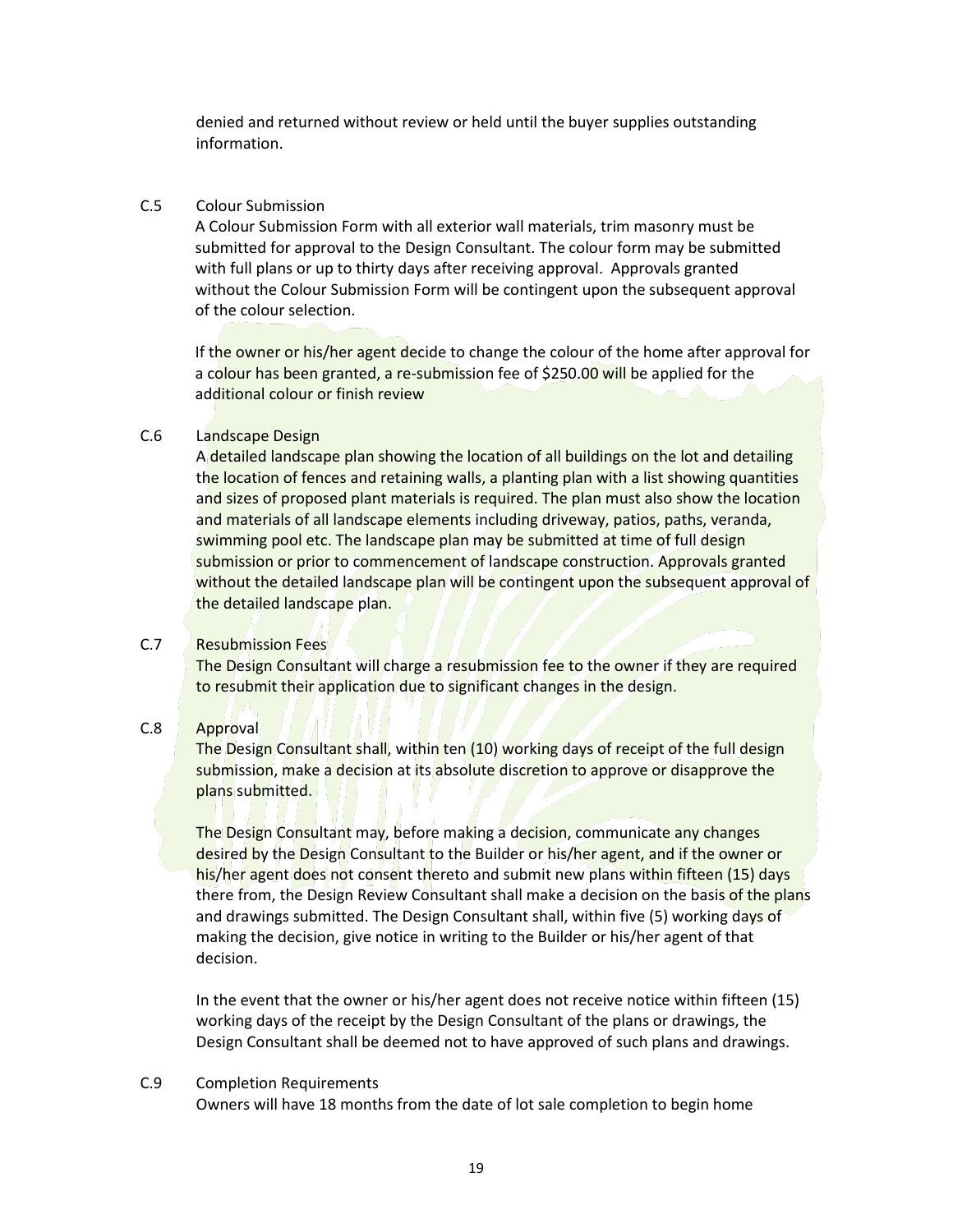denied and returned without review or held until the buyer supplies outstanding information.

# C.5 Colour Submission

A Colour Submission Form with all exterior wall materials, trim masonry must be submitted for approval to the Design Consultant. The colour form may be submitted with full plans or up to thirty days after receiving approval. Approvals granted without the Colour Submission Form will be contingent upon the subsequent approval of the colour selection.

If the owner or his/her agent decide to change the colour of the home after approval for a colour has been granted, a re-submission fee of \$250.00 will be applied for the additional colour or finish review

## C.6 Landscape Design

A detailed landscape plan showing the location of all buildings on the lot and detailing the location of fences and retaining walls, a planting plan with a list showing quantities and sizes of proposed plant materials is required. The plan must also show the location and materials of all landscape elements including driveway, patios, paths, veranda, swimming pool etc. The landscape plan may be submitted at time of full design submission or prior to commencement of landscape construction. Approvals granted without the detailed landscape plan will be contingent upon the subsequent approval of the detailed landscape plan.

# C.7 Resubmission Fees

The Design Consultant will charge a resubmission fee to the owner if they are required to resubmit their application due to significant changes in the design.

# C.8 Approval

The Design Consultant shall, within ten (10) working days of receipt of the full design submission, make a decision at its absolute discretion to approve or disapprove the plans submitted.

The Design Consultant may, before making a decision, communicate any changes desired by the Design Consultant to the Builder or his/her agent, and if the owner or his/her agent does not consent thereto and submit new plans within fifteen (15) days there from, the Design Review Consultant shall make a decision on the basis of the plans and drawings submitted. The Design Consultant shall, within five (5) working days of making the decision, give notice in writing to the Builder or his/her agent of that decision.

In the event that the owner or his/her agent does not receive notice within fifteen (15) working days of the receipt by the Design Consultant of the plans or drawings, the Design Consultant shall be deemed not to have approved of such plans and drawings.

# C.9 Completion Requirements

Owners will have 18 months from the date of lot sale completion to begin home